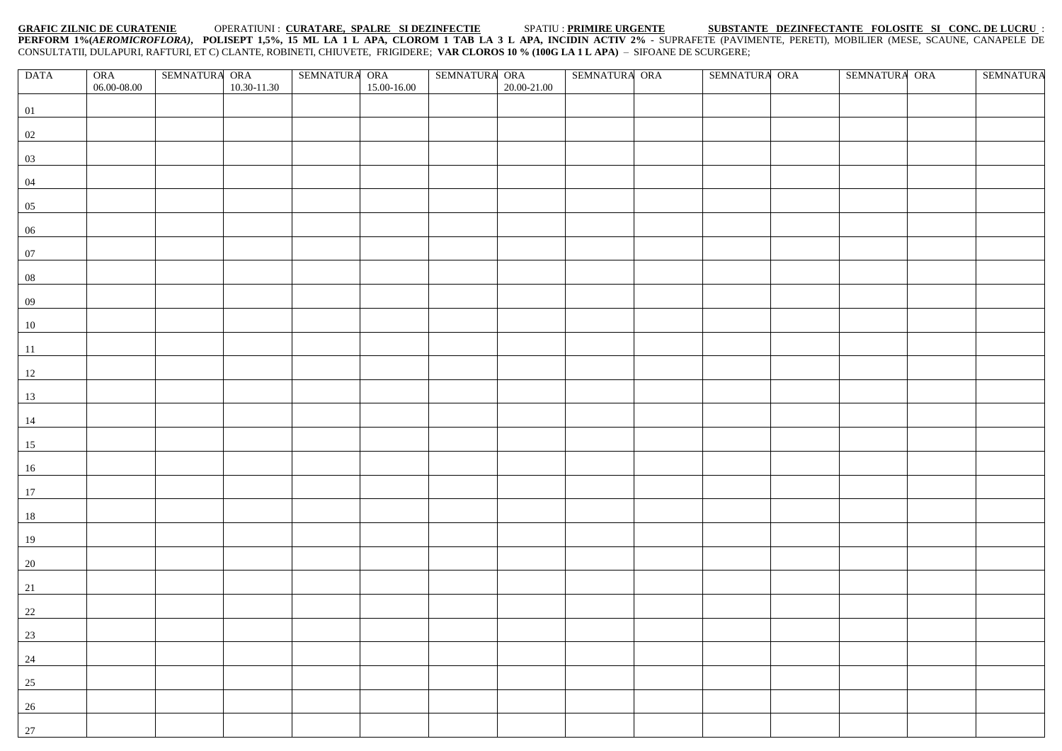## **GRAFIC ZILNIC DE CURATENIE** OPERATIUNI : **CURATARE, SPALRE SI DEZINFECTIE** SPATIU : **PRIMIRE URGENTE SUBSTANTE DEZINFECTANTE FOLOSITE SI CONC. DE LUCRU** : **PERFORM 1%(***AEROMICROFLORA)***, POLISEPT 1,5%, 15 ML LA 1 L APA, CLOROM 1 TAB LA 3 L APA, INCIDIN ACTIV 2%** - SUPRAFETE (PAVIMENTE, PERETI), MOBILIER (MESE, SCAUNE, CANAPELE DE CONSULTATII, DULAPURI, RAFTURI, ET C) CLANTE, ROBINETI, CHIUVETE, FRIGIDERE; **VAR CLOROS 10 % (100G LA 1 L APA)** – SIFOANE DE SCURGERE;

| <b>DATA</b>                                          | ORA         | SEMNATURA ORA |             | SEMNATURA ORA |             | SEMNATURA ORA |             | SEMNATURA ORA | SEMNATURA ORA |  | SEMNATURA ORA | <b>SEMNATURA</b> |
|------------------------------------------------------|-------------|---------------|-------------|---------------|-------------|---------------|-------------|---------------|---------------|--|---------------|------------------|
|                                                      | 06.00-08.00 |               | 10.30-11.30 |               | 15.00-16.00 |               | 20.00-21.00 |               |               |  |               |                  |
| 01                                                   |             |               |             |               |             |               |             |               |               |  |               |                  |
| 02                                                   |             |               |             |               |             |               |             |               |               |  |               |                  |
|                                                      |             |               |             |               |             |               |             |               |               |  |               |                  |
| $\overline{03}$                                      |             |               |             |               |             |               |             |               |               |  |               |                  |
| 04                                                   |             |               |             |               |             |               |             |               |               |  |               |                  |
| 05                                                   |             |               |             |               |             |               |             |               |               |  |               |                  |
| 06                                                   |             |               |             |               |             |               |             |               |               |  |               |                  |
| 07                                                   |             |               |             |               |             |               |             |               |               |  |               |                  |
| 08                                                   |             |               |             |               |             |               |             |               |               |  |               |                  |
| 09                                                   |             |               |             |               |             |               |             |               |               |  |               |                  |
|                                                      |             |               |             |               |             |               |             |               |               |  |               |                  |
| $10\,$                                               |             |               |             |               |             |               |             |               |               |  |               |                  |
| 11                                                   |             |               |             |               |             |               |             |               |               |  |               |                  |
| 12                                                   |             |               |             |               |             |               |             |               |               |  |               |                  |
| 13                                                   |             |               |             |               |             |               |             |               |               |  |               |                  |
| 14                                                   |             |               |             |               |             |               |             |               |               |  |               |                  |
| 15                                                   |             |               |             |               |             |               |             |               |               |  |               |                  |
|                                                      |             |               |             |               |             |               |             |               |               |  |               |                  |
| 16                                                   |             |               |             |               |             |               |             |               |               |  |               |                  |
| 17                                                   |             |               |             |               |             |               |             |               |               |  |               |                  |
| $18\,$                                               |             |               |             |               |             |               |             |               |               |  |               |                  |
| 19                                                   |             |               |             |               |             |               |             |               |               |  |               |                  |
| 20                                                   |             |               |             |               |             |               |             |               |               |  |               |                  |
| 21                                                   |             |               |             |               |             |               |             |               |               |  |               |                  |
|                                                      |             |               |             |               |             |               |             |               |               |  |               |                  |
| $\begin{array}{r} 22 \\ 23 \end{array}$              |             |               |             |               |             |               |             |               |               |  |               |                  |
|                                                      |             |               |             |               |             |               |             |               |               |  |               |                  |
| 24                                                   |             |               |             |               |             |               |             |               |               |  |               |                  |
| $\frac{25}{2}$                                       |             |               |             |               |             |               |             |               |               |  |               |                  |
|                                                      |             |               |             |               |             |               |             |               |               |  |               |                  |
| $\begin{array}{c}\n 26 \\ \hline\n 27\n \end{array}$ |             |               |             |               |             |               |             |               |               |  |               |                  |